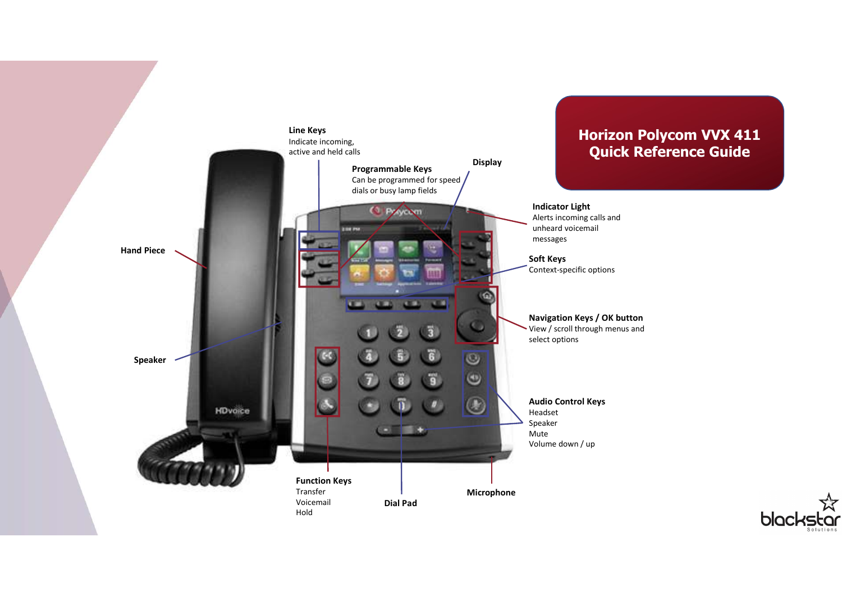